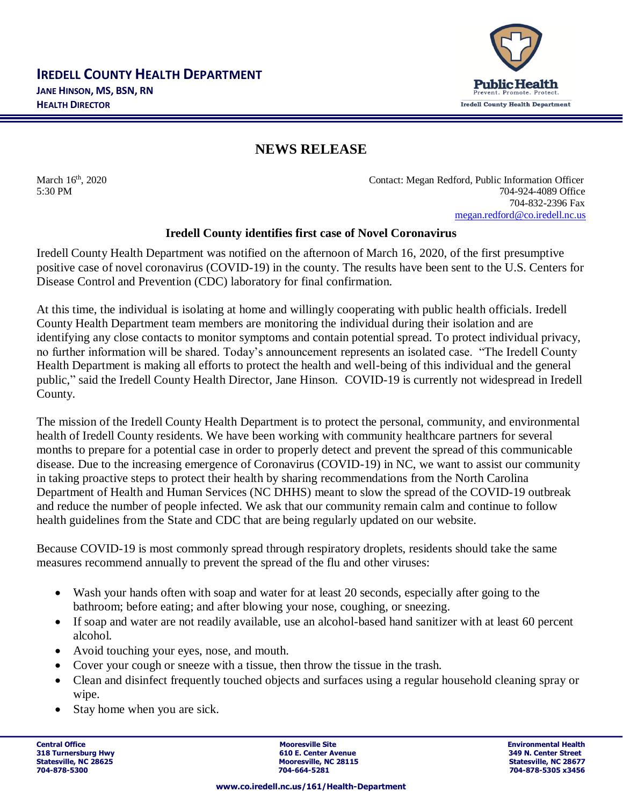

## **NEWS RELEASE**

March 16<sup>th</sup>, 2020 Contact: Megan Redford, Public Information Officer 5:30 PM 704-924-4089 Office 704-832-2396 Fax [megan.redford@co.iredell.nc.us](mailto:megan.redford@co.iredell.nc.us)

## **Iredell County identifies first case of Novel Coronavirus**

Iredell County Health Department was notified on the afternoon of March 16, 2020, of the first presumptive positive case of novel coronavirus (COVID-19) in the county. The results have been sent to the U.S. Centers for Disease Control and Prevention (CDC) laboratory for final confirmation.

At this time, the individual is isolating at home and willingly cooperating with public health officials. Iredell County Health Department team members are monitoring the individual during their isolation and are identifying any close contacts to monitor symptoms and contain potential spread. To protect individual privacy, no further information will be shared. Today's announcement represents an isolated case. "The Iredell County Health Department is making all efforts to protect the health and well-being of this individual and the general public," said the Iredell County Health Director, Jane Hinson. COVID-19 is currently not widespread in Iredell County.

The mission of the Iredell County Health Department is to protect the personal, community, and environmental health of Iredell County residents. We have been working with community healthcare partners for several months to prepare for a potential case in order to properly detect and prevent the spread of this communicable disease. Due to the increasing emergence of Coronavirus (COVID-19) in NC, we want to assist our community in taking proactive steps to protect their health by sharing recommendations from the North Carolina Department of Health and Human Services (NC DHHS) meant to slow the spread of the COVID-19 outbreak and reduce the number of people infected. We ask that our community remain calm and continue to follow health guidelines from the State and CDC that are being regularly updated on our website.

Because COVID-19 is most commonly spread through respiratory droplets, residents should take the same measures recommend annually to prevent the spread of the flu and other viruses:

- Wash your hands often with soap and water for at least 20 seconds, especially after going to the bathroom; before eating; and after blowing your nose, coughing, or sneezing.
- If soap and water are not readily available, use an alcohol-based hand sanitizer with at least 60 percent alcohol.
- Avoid touching your eyes, nose, and mouth.
- Cover your cough or sneeze with a tissue, then throw the tissue in the trash.
- Clean and disinfect frequently touched objects and surfaces using a regular household cleaning spray or wipe.
- Stay home when you are sick.